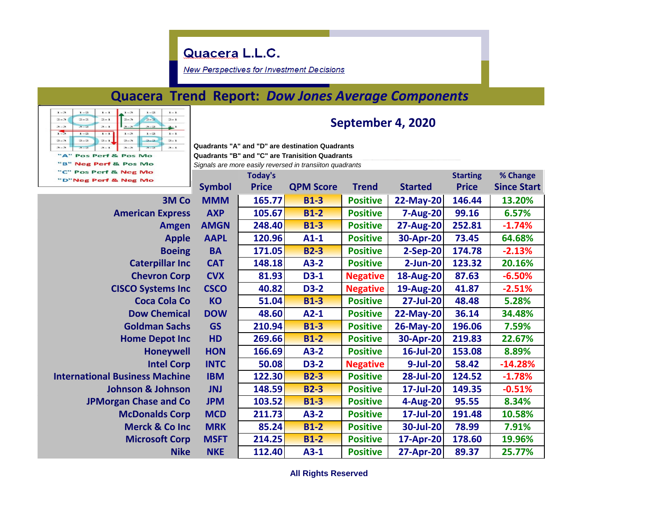## Quacera L.L.C.

**New Perspectives for Investment Decisions** 

## **Quacera Trend Report:** *Dow Jones Average Components*

| $1 - 3$ | $1 - 2$ | $1 - 1$ | $1 - 3$               | $1 - 2$ | $1 - 1$ |
|---------|---------|---------|-----------------------|---------|---------|
| $2 - 3$ | $2 - 2$ | $2 - 1$ | $2 - 3$               | $2 - 2$ | $2 - 1$ |
| $3 - 3$ | $3 - 2$ | $3 - 1$ | $3 - 3$               | $3 - 2$ | $3 - 1$ |
| $1 - 3$ | $1 - 2$ | $1 - 1$ | $1 - 3$               | $1 - 2$ | $1 - 1$ |
| $2 - 3$ | $2 - 2$ | $2 - 1$ | $2 - 3$               | $2 - 2$ | $2 - 1$ |
| $3 - 3$ | $3 - 2$ | $3 - 1$ | $3 - 3$               | $3 - 2$ | $3 - 1$ |
|         |         |         | "A" Pos Perf & Pos Mo |         |         |
|         |         |         | "B" Neg Perf & Pos Mo |         |         |
|         |         |         | "C" Pos Perf & Neg Mo |         |         |
|         |         |         |                       |         |         |

### **September 4, 2020**

**Quadrants "A" and "D" are destination Quadrants Quadrants "B" and "C" are Tranisition Quadrants**  *Signals are more easily reversed in transiiton quadrants*

**Today's Starting % Change Symbol Price QPM Score Trend Started Price Since Start 3M Co MMM 165.77 B1-3 Positive 22-May-20 146.44 13.20% American Express AXP 105.67 B1-2 Positive 7-Aug-20 99.16 6.57% Amgen AMGN 248.40 B1-3 Positive 27-Aug-20 252.81 -1.74% Apple AAPL 120.96 A1-1 Positive 30-Apr-20 73.45 64.68% Boeing BA 171.05 B2-3 Positive 2-Sep-20 174.78 -2.13% Caterpillar Inc CAT 148.18 A3-2 Positive 2-Jun-20 123.32 20.16% Chevron Corp CVX 81.93 D3-1 Negative 18-Aug-20 87.63 -6.50% CISCO Systems Inc CSCO 40.82 D3-2 Negative 19-Aug-20 41.87 -2.51% Coca Cola Co KO 51.04 B1-3 Positive 27-Jul-20 48.48 5.28% Dow Chemical DOW 48.60 A2-1 Positive 22-May-20 36.14 34.48% Goldman Sachs GS 210.94 B1-3 Positive 26-May-20 196.06 7.59% Home Depot Inc HD 269.66 B1-2 Positive 30-Apr-20 219.83 22.67% Honeywell HON 166.69 A3-2 Positive 16-Jul-20 153.08 8.89% Intel Corp INTC 50.08 D3-2 Negative 9-Jul-20 58.42 -14.28% International Business Machine IBM 122.30 B2-3 Positive 28-Jul-20 124.52 -1.78% Johnson & Johnson JNJ 148.59 B2-3 Positive 17-Jul-20 149.35 -0.51% JPMorgan Chase and Co JPM 103.52 B1-3 Positive 4-Aug-20 95.55 8.34% McDonalds Corp MCD 211.73 A3-2 Positive 17-Jul-20 191.48 10.58% Merck & Co Inc MRK 85.24 B1-2 Positive 30-Jul-20 78.99 7.91% Microsoft Corp MSFT 214.25 B1-2 Positive 17-Apr-20 178.60 19.96% Nike NKE 112.40 A3-1 Positive 27-Apr-20 89.37 25.77%**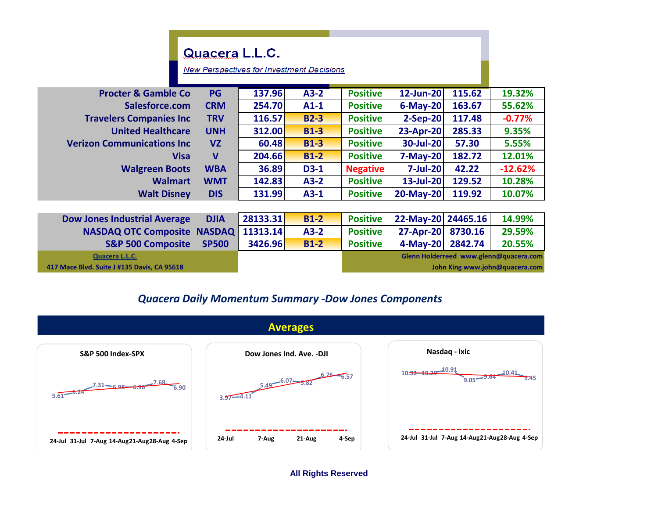# Quacera L.L.C.

**New Perspectives for Investment Decisions** 

| <b>Procter &amp; Gamble Co</b>     | <b>PG</b>  | 137.96 | $A3-2$      | <b>Positive</b> | 12-Jun-20       | 115.62 | 19.32%    |
|------------------------------------|------------|--------|-------------|-----------------|-----------------|--------|-----------|
| Salesforce.com                     | <b>CRM</b> | 254.70 | $A1-1$      | <b>Positive</b> | $6$ -May-20     | 163.67 | 55.62%    |
| <b>Travelers Companies Inc.</b>    | <b>TRV</b> | 116.57 | <b>B2-3</b> | <b>Positive</b> | $2-Sep-20$      | 117.48 | $-0.77%$  |
| <b>United Healthcare</b>           | <b>UNH</b> | 312.00 | <b>B1-3</b> | <b>Positive</b> | 23-Apr-20       | 285.33 | 9.35%     |
| <b>Verizon Communications Inc.</b> | VZ         | 60.48  | <b>B1-3</b> | <b>Positive</b> | 30-Jul-20       | 57.30  | 5.55%     |
| Visa                               | V          | 204.66 | $B1-2$      | <b>Positive</b> | <b>7-May-20</b> | 182.72 | 12.01%    |
| <b>Walgreen Boots</b>              | <b>WBA</b> | 36.89  | $D3-1$      | <b>Negative</b> | <b>7-Jul-20</b> | 42.22  | $-12.62%$ |
| <b>Walmart</b>                     | <b>WMT</b> | 142.83 | $A3-2$      | <b>Positive</b> | $13$ -Jul-20    | 129.52 | 10.28%    |
| <b>Walt Disney</b>                 | <b>DIS</b> | 131.99 | $A3-1$      | <b>Positive</b> | 20-May-20       | 119.92 | 10.07%    |
|                                    |            |        |             |                 |                 |        |           |

| <b>Dow Jones Industrial Average</b>         | <b>DJIA</b>  | 28133.31       | $B1-2$ | <b>Positive</b>                        | 22-May-20 24465.16 |                                | 14.99% |  |
|---------------------------------------------|--------------|----------------|--------|----------------------------------------|--------------------|--------------------------------|--------|--|
| NASDAQ OTC Composite NASDAQ   11313.14      |              |                | $A3-2$ | <b>Positive</b>                        | 27-Apr-20 8730.16  |                                | 29.59% |  |
| <b>S&amp;P 500 Composite</b>                | <b>SP500</b> | <b>3426.96</b> | $B1-2$ | <b>Positive</b>                        | 4-May-20 2842.74   |                                | 20.55% |  |
| Quacera L.L.C.                              |              |                |        | Glenn Holderreed www.glenn@quacera.com |                    |                                |        |  |
| 417 Mace Blvd. Suite J #135 Davis, CA 95618 |              |                |        |                                        |                    | John King www.john@quacera.com |        |  |

#### *Quacera Daily Momentum Summary -Dow Jones Components*



**All Rights Reserved**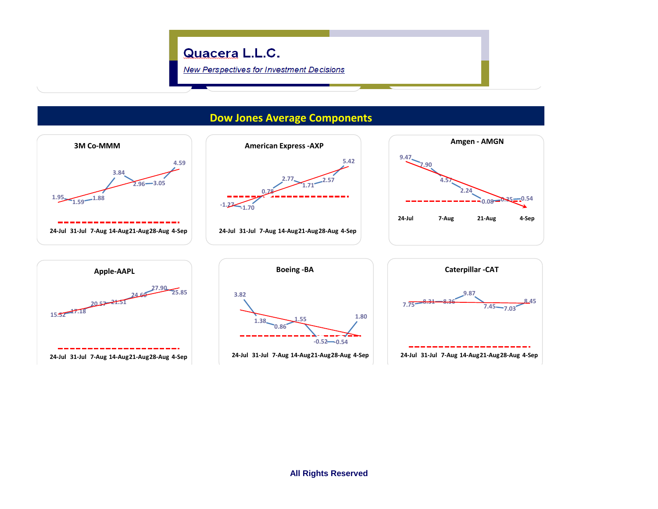

**Dow Jones Average Components**

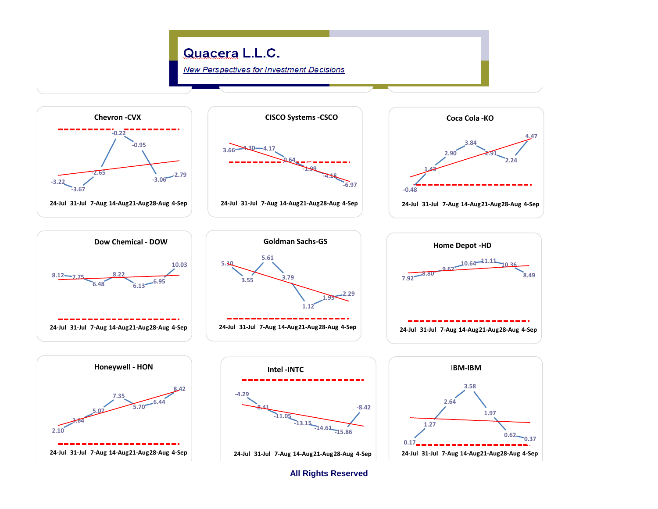

**All Rights Reserved**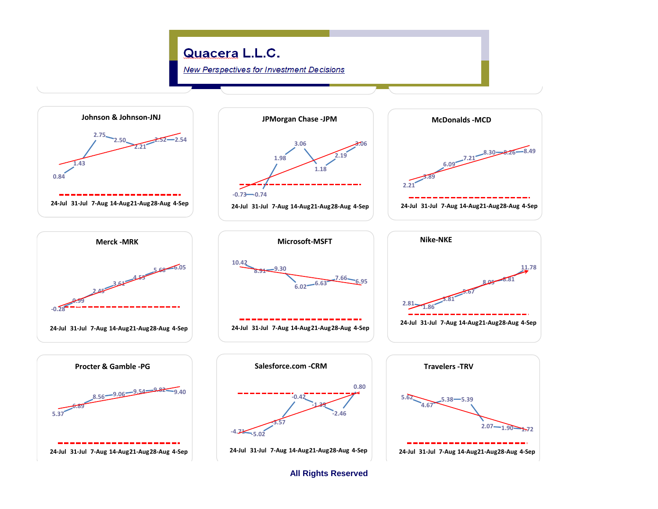

**All Rights Reserved**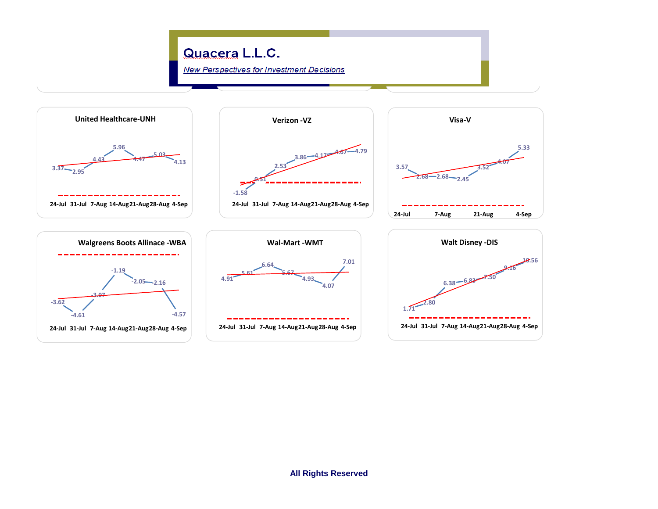